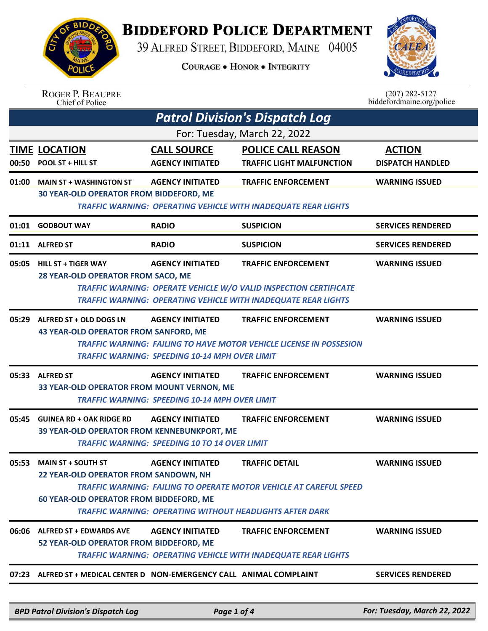

## **BIDDEFORD POLICE DEPARTMENT**

39 ALFRED STREET, BIDDEFORD, MAINE 04005

**COURAGE . HONOR . INTEGRITY** 



| <b>ROGER P. BEAUPRE</b> |
|-------------------------|
| Chief of Police         |

 $(207)$  282-5127<br>biddefordmaine.org/police

| <b>Patrol Division's Dispatch Log</b> |                                                                                                                     |                                                                                  |                                                                                                                                                                                 |                                          |  |  |
|---------------------------------------|---------------------------------------------------------------------------------------------------------------------|----------------------------------------------------------------------------------|---------------------------------------------------------------------------------------------------------------------------------------------------------------------------------|------------------------------------------|--|--|
| For: Tuesday, March 22, 2022          |                                                                                                                     |                                                                                  |                                                                                                                                                                                 |                                          |  |  |
| 00:50                                 | <b>TIME LOCATION</b><br><b>POOL ST + HILL ST</b>                                                                    | <b>CALL SOURCE</b><br><b>AGENCY INITIATED</b>                                    | <b>POLICE CALL REASON</b><br><b>TRAFFIC LIGHT MALFUNCTION</b>                                                                                                                   | <b>ACTION</b><br><b>DISPATCH HANDLED</b> |  |  |
| 01:00                                 | <b>MAIN ST + WASHINGTON ST</b><br><b>30 YEAR-OLD OPERATOR FROM BIDDEFORD, ME</b>                                    | <b>AGENCY INITIATED</b>                                                          | <b>TRAFFIC ENFORCEMENT</b><br><b>TRAFFIC WARNING: OPERATING VEHICLE WITH INADEQUATE REAR LIGHTS</b>                                                                             | <b>WARNING ISSUED</b>                    |  |  |
|                                       | 01:01 GODBOUT WAY                                                                                                   | <b>RADIO</b>                                                                     | <b>SUSPICION</b>                                                                                                                                                                | <b>SERVICES RENDERED</b>                 |  |  |
|                                       | 01:11 ALFRED ST                                                                                                     | <b>RADIO</b>                                                                     | <b>SUSPICION</b>                                                                                                                                                                | <b>SERVICES RENDERED</b>                 |  |  |
|                                       | 05:05 HILL ST + TIGER WAY<br>28 YEAR-OLD OPERATOR FROM SACO, ME                                                     | <b>AGENCY INITIATED</b>                                                          | <b>TRAFFIC ENFORCEMENT</b><br><b>TRAFFIC WARNING: OPERATE VEHICLE W/O VALID INSPECTION CERTIFICATE</b><br><b>TRAFFIC WARNING: OPERATING VEHICLE WITH INADEQUATE REAR LIGHTS</b> | <b>WARNING ISSUED</b>                    |  |  |
|                                       | 05:29 ALFRED ST + OLD DOGS LN<br><b>43 YEAR-OLD OPERATOR FROM SANFORD, ME</b>                                       | <b>AGENCY INITIATED</b><br>TRAFFIC WARNING: SPEEDING 10-14 MPH OVER LIMIT        | <b>TRAFFIC ENFORCEMENT</b><br><b>TRAFFIC WARNING: FAILING TO HAVE MOTOR VEHICLE LICENSE IN POSSESION</b>                                                                        | <b>WARNING ISSUED</b>                    |  |  |
|                                       | 05:33 ALFRED ST<br>33 YEAR-OLD OPERATOR FROM MOUNT VERNON, ME                                                       | <b>AGENCY INITIATED</b><br><b>TRAFFIC WARNING: SPEEDING 10-14 MPH OVER LIMIT</b> | <b>TRAFFIC ENFORCEMENT</b>                                                                                                                                                      | <b>WARNING ISSUED</b>                    |  |  |
| 05:45                                 | <b>GUINEA RD + OAK RIDGE RD</b><br>39 YEAR-OLD OPERATOR FROM KENNEBUNKPORT, ME                                      | <b>AGENCY INITIATED</b><br><b>TRAFFIC WARNING: SPEEDING 10 TO 14 OVER LIMIT</b>  | <b>TRAFFIC ENFORCEMENT</b>                                                                                                                                                      | <b>WARNING ISSUED</b>                    |  |  |
|                                       | 05:53 MAIN ST + SOUTH ST<br>22 YEAR-OLD OPERATOR FROM SANDOWN, NH<br><b>60 YEAR-OLD OPERATOR FROM BIDDEFORD, ME</b> | <b>AGENCY INITIATED</b>                                                          | <b>TRAFFIC DETAIL</b><br><b>TRAFFIC WARNING: FAILING TO OPERATE MOTOR VEHICLE AT CAREFUL SPEED</b><br><b>TRAFFIC WARNING: OPERATING WITHOUT HEADLIGHTS AFTER DARK</b>           | <b>WARNING ISSUED</b>                    |  |  |
|                                       | 06:06 ALFRED ST + EDWARDS AVE<br>52 YEAR-OLD OPERATOR FROM BIDDEFORD, ME                                            | <b>AGENCY INITIATED</b>                                                          | <b>TRAFFIC ENFORCEMENT</b><br>TRAFFIC WARNING: OPERATING VEHICLE WITH INADEQUATE REAR LIGHTS                                                                                    | <b>WARNING ISSUED</b>                    |  |  |
|                                       |                                                                                                                     |                                                                                  |                                                                                                                                                                                 |                                          |  |  |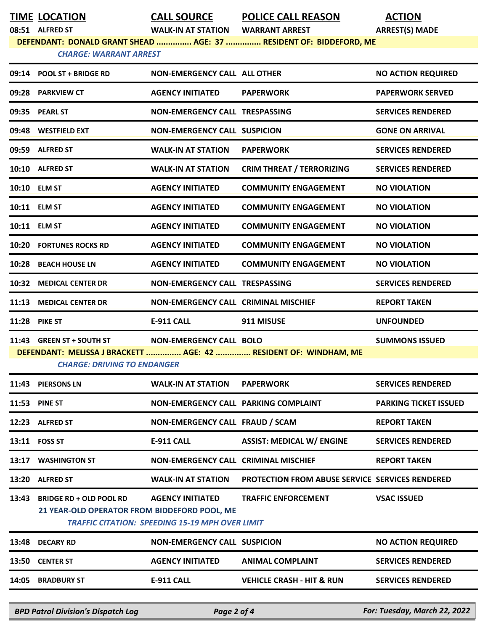**TIME LOCATION CALL SOURCE POLICE CALL REASON ACTION**

**08:51 ALFRED ST WALK-IN AT STATION WARRANT ARREST ARREST(S) MADE**

**DEFENDANT: DONALD GRANT SHEAD ............... AGE: 37 ............... RESIDENT OF: BIDDEFORD, ME**

## *CHARGE: WARRANT ARREST*

|                                                                                                        | 09:14 POOL ST + BRIDGE RD                                                      | <b>NON-EMERGENCY CALL ALL OTHER</b>                    |                                                        | <b>NO ACTION REQUIRED</b>    |  |
|--------------------------------------------------------------------------------------------------------|--------------------------------------------------------------------------------|--------------------------------------------------------|--------------------------------------------------------|------------------------------|--|
|                                                                                                        | 09:28 PARKVIEW CT                                                              | <b>AGENCY INITIATED</b>                                | <b>PAPERWORK</b>                                       | <b>PAPERWORK SERVED</b>      |  |
|                                                                                                        | 09:35 PEARL ST                                                                 | NON-EMERGENCY CALL TRESPASSING                         |                                                        | <b>SERVICES RENDERED</b>     |  |
|                                                                                                        | 09:48 WESTFIELD EXT                                                            | <b>NON-EMERGENCY CALL SUSPICION</b>                    |                                                        | <b>GONE ON ARRIVAL</b>       |  |
|                                                                                                        | 09:59 ALFRED ST                                                                | <b>WALK-IN AT STATION</b>                              | <b>PAPERWORK</b>                                       | <b>SERVICES RENDERED</b>     |  |
|                                                                                                        | 10:10 ALFRED ST                                                                | <b>WALK-IN AT STATION</b>                              | <b>CRIM THREAT / TERRORIZING</b>                       | <b>SERVICES RENDERED</b>     |  |
|                                                                                                        | 10:10 ELM ST                                                                   | <b>AGENCY INITIATED</b>                                | <b>COMMUNITY ENGAGEMENT</b>                            | <b>NO VIOLATION</b>          |  |
|                                                                                                        | 10:11 ELM ST                                                                   | <b>AGENCY INITIATED</b>                                | <b>COMMUNITY ENGAGEMENT</b>                            | <b>NO VIOLATION</b>          |  |
|                                                                                                        | 10:11 ELM ST                                                                   | <b>AGENCY INITIATED</b>                                | <b>COMMUNITY ENGAGEMENT</b>                            | <b>NO VIOLATION</b>          |  |
|                                                                                                        | <b>10:20 FORTUNES ROCKS RD</b>                                                 | <b>AGENCY INITIATED</b>                                | <b>COMMUNITY ENGAGEMENT</b>                            | <b>NO VIOLATION</b>          |  |
| 10:28                                                                                                  | <b>BEACH HOUSE LN</b>                                                          | <b>AGENCY INITIATED</b>                                | <b>COMMUNITY ENGAGEMENT</b>                            | <b>NO VIOLATION</b>          |  |
| 10:32                                                                                                  | <b>MEDICAL CENTER DR</b>                                                       | NON-EMERGENCY CALL TRESPASSING                         |                                                        | <b>SERVICES RENDERED</b>     |  |
| 11:13                                                                                                  | <b>MEDICAL CENTER DR</b>                                                       | <b>NON-EMERGENCY CALL CRIMINAL MISCHIEF</b>            |                                                        | <b>REPORT TAKEN</b>          |  |
|                                                                                                        | <b>11:28 PIKE ST</b>                                                           | <b>E-911 CALL</b>                                      | 911 MISUSE                                             | <b>UNFOUNDED</b>             |  |
|                                                                                                        | 11:43 GREEN ST + SOUTH ST                                                      | NON-EMERGENCY CALL BOLO                                |                                                        | <b>SUMMONS ISSUED</b>        |  |
| DEFENDANT: MELISSA J BRACKETT  AGE: 42  RESIDENT OF: WINDHAM, ME<br><b>CHARGE: DRIVING TO ENDANGER</b> |                                                                                |                                                        |                                                        |                              |  |
|                                                                                                        | 11:43 PIERSONS LN                                                              | <b>WALK-IN AT STATION</b>                              | <b>PAPERWORK</b>                                       | <b>SERVICES RENDERED</b>     |  |
|                                                                                                        | <b>11:53 PINE ST</b>                                                           | NON-EMERGENCY CALL PARKING COMPLAINT                   |                                                        | <b>PARKING TICKET ISSUED</b> |  |
|                                                                                                        | 12:23 ALFRED ST                                                                | NON-EMERGENCY CALL FRAUD / SCAM                        |                                                        | <b>REPORT TAKEN</b>          |  |
|                                                                                                        | 13:11 FOSS ST                                                                  | E-911 CALL                                             | <b>ASSIST: MEDICAL W/ ENGINE</b>                       | <b>SERVICES RENDERED</b>     |  |
|                                                                                                        | 13:17 WASHINGTON ST                                                            | NON-EMERGENCY CALL CRIMINAL MISCHIEF                   |                                                        | <b>REPORT TAKEN</b>          |  |
| 13:20                                                                                                  | <b>ALFRED ST</b>                                                               | <b>WALK-IN AT STATION</b>                              | <b>PROTECTION FROM ABUSE SERVICE SERVICES RENDERED</b> |                              |  |
| 13:43                                                                                                  | <b>BRIDGE RD + OLD POOL RD</b><br>21 YEAR-OLD OPERATOR FROM BIDDEFORD POOL, ME | <b>AGENCY INITIATED</b>                                | <b>TRAFFIC ENFORCEMENT</b>                             | <b>VSAC ISSUED</b>           |  |
|                                                                                                        |                                                                                | <b>TRAFFIC CITATION: SPEEDING 15-19 MPH OVER LIMIT</b> |                                                        |                              |  |
| 13:48                                                                                                  | <b>DECARY RD</b>                                                               | <b>NON-EMERGENCY CALL SUSPICION</b>                    |                                                        | <b>NO ACTION REQUIRED</b>    |  |
|                                                                                                        | 13:50 CENTER ST                                                                | <b>AGENCY INITIATED</b>                                | <b>ANIMAL COMPLAINT</b>                                | <b>SERVICES RENDERED</b>     |  |
|                                                                                                        | 14:05 BRADBURY ST                                                              | <b>E-911 CALL</b>                                      | <b>VEHICLE CRASH - HIT &amp; RUN</b>                   | <b>SERVICES RENDERED</b>     |  |
|                                                                                                        |                                                                                |                                                        |                                                        |                              |  |

*BPD Patrol Division's Dispatch Log Page 2 of 4 For: Tuesday, March 22, 2022*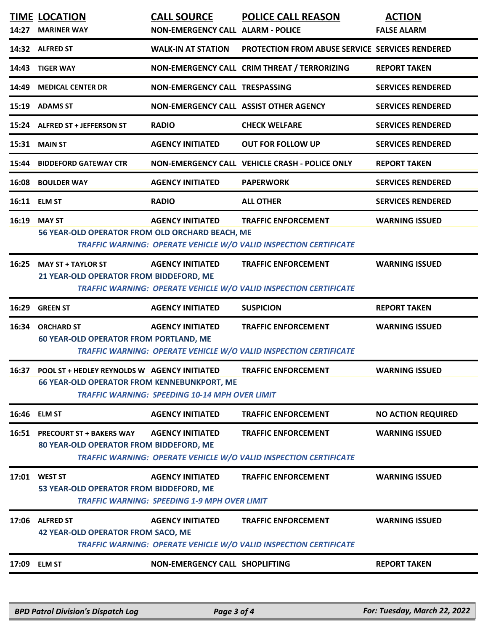|       | <b>TIME LOCATION</b>                                                                                                                                                                                               | <b>CALL SOURCE</b>                                                             | <b>POLICE CALL REASON</b>                                                                              | <b>ACTION</b>             |  |
|-------|--------------------------------------------------------------------------------------------------------------------------------------------------------------------------------------------------------------------|--------------------------------------------------------------------------------|--------------------------------------------------------------------------------------------------------|---------------------------|--|
|       | 14:27 MARINER WAY                                                                                                                                                                                                  | NON-EMERGENCY CALL ALARM - POLICE                                              |                                                                                                        | <b>FALSE ALARM</b>        |  |
|       | 14:32 ALFRED ST                                                                                                                                                                                                    | <b>WALK-IN AT STATION</b>                                                      | <b>PROTECTION FROM ABUSE SERVICE SERVICES RENDERED</b>                                                 |                           |  |
|       | 14:43 TIGER WAY                                                                                                                                                                                                    |                                                                                | NON-EMERGENCY CALL CRIM THREAT / TERRORIZING                                                           | <b>REPORT TAKEN</b>       |  |
|       | 14:49 MEDICAL CENTER DR                                                                                                                                                                                            | <b>NON-EMERGENCY CALL TRESPASSING</b>                                          |                                                                                                        | <b>SERVICES RENDERED</b>  |  |
|       | 15:19 ADAMS ST                                                                                                                                                                                                     | NON-EMERGENCY CALL ASSIST OTHER AGENCY                                         |                                                                                                        | <b>SERVICES RENDERED</b>  |  |
|       | 15:24 ALFRED ST + JEFFERSON ST                                                                                                                                                                                     | <b>RADIO</b>                                                                   | <b>CHECK WELFARE</b>                                                                                   | <b>SERVICES RENDERED</b>  |  |
|       | <b>15:31 MAIN ST</b>                                                                                                                                                                                               | <b>AGENCY INITIATED</b>                                                        | <b>OUT FOR FOLLOW UP</b>                                                                               | <b>SERVICES RENDERED</b>  |  |
|       | 15:44 BIDDEFORD GATEWAY CTR                                                                                                                                                                                        |                                                                                | NON-EMERGENCY CALL VEHICLE CRASH - POLICE ONLY                                                         | <b>REPORT TAKEN</b>       |  |
|       | <b>16:08 BOULDER WAY</b>                                                                                                                                                                                           | <b>AGENCY INITIATED</b>                                                        | <b>PAPERWORK</b>                                                                                       | <b>SERVICES RENDERED</b>  |  |
|       | 16:11 ELM ST                                                                                                                                                                                                       | <b>RADIO</b>                                                                   | <b>ALL OTHER</b>                                                                                       | <b>SERVICES RENDERED</b>  |  |
|       | 16:19 MAY ST<br>56 YEAR-OLD OPERATOR FROM OLD ORCHARD BEACH, ME                                                                                                                                                    | <b>AGENCY INITIATED</b>                                                        | <b>TRAFFIC ENFORCEMENT</b><br><b>TRAFFIC WARNING: OPERATE VEHICLE W/O VALID INSPECTION CERTIFICATE</b> | <b>WARNING ISSUED</b>     |  |
|       | 16:25 MAY ST + TAYLOR ST<br>21 YEAR-OLD OPERATOR FROM BIDDEFORD, ME                                                                                                                                                | <b>AGENCY INITIATED</b>                                                        | <b>TRAFFIC ENFORCEMENT</b><br><b>TRAFFIC WARNING: OPERATE VEHICLE W/O VALID INSPECTION CERTIFICATE</b> | <b>WARNING ISSUED</b>     |  |
| 16:29 | <b>GREEN ST</b>                                                                                                                                                                                                    | <b>AGENCY INITIATED</b>                                                        | <b>SUSPICION</b>                                                                                       | <b>REPORT TAKEN</b>       |  |
| 16:34 | <b>ORCHARD ST</b><br><b>60 YEAR-OLD OPERATOR FROM PORTLAND, ME</b>                                                                                                                                                 | <b>AGENCY INITIATED</b>                                                        | <b>TRAFFIC ENFORCEMENT</b><br><b>TRAFFIC WARNING: OPERATE VEHICLE W/O VALID INSPECTION CERTIFICATE</b> | <b>WARNING ISSUED</b>     |  |
| 16:37 | <b>POOL ST + HEDLEY REYNOLDS W AGENCY INITIATED</b><br>TRAFFIC ENFORCEMENT<br><b>WARNING ISSUED</b><br><b>66 YEAR-OLD OPERATOR FROM KENNEBUNKPORT, ME</b><br><b>TRAFFIC WARNING: SPEEDING 10-14 MPH OVER LIMIT</b> |                                                                                |                                                                                                        |                           |  |
|       |                                                                                                                                                                                                                    |                                                                                |                                                                                                        |                           |  |
|       | 16:46 ELM ST                                                                                                                                                                                                       | <b>AGENCY INITIATED</b>                                                        | <b>TRAFFIC ENFORCEMENT</b>                                                                             | <b>NO ACTION REQUIRED</b> |  |
|       | 16:51 PRECOURT ST + BAKERS WAY<br>80 YEAR-OLD OPERATOR FROM BIDDEFORD, ME                                                                                                                                          | <b>AGENCY INITIATED</b>                                                        | <b>TRAFFIC ENFORCEMENT</b><br><b>TRAFFIC WARNING: OPERATE VEHICLE W/O VALID INSPECTION CERTIFICATE</b> | <b>WARNING ISSUED</b>     |  |
|       | 17:01 WEST ST<br>53 YEAR-OLD OPERATOR FROM BIDDEFORD, ME                                                                                                                                                           | <b>AGENCY INITIATED</b><br><b>TRAFFIC WARNING: SPEEDING 1-9 MPH OVER LIMIT</b> | <b>TRAFFIC ENFORCEMENT</b>                                                                             | <b>WARNING ISSUED</b>     |  |
|       | 17:06 ALFRED ST<br>42 YEAR-OLD OPERATOR FROM SACO, ME                                                                                                                                                              | <b>AGENCY INITIATED</b>                                                        | <b>TRAFFIC ENFORCEMENT</b><br><b>TRAFFIC WARNING: OPERATE VEHICLE W/O VALID INSPECTION CERTIFICATE</b> | <b>WARNING ISSUED</b>     |  |